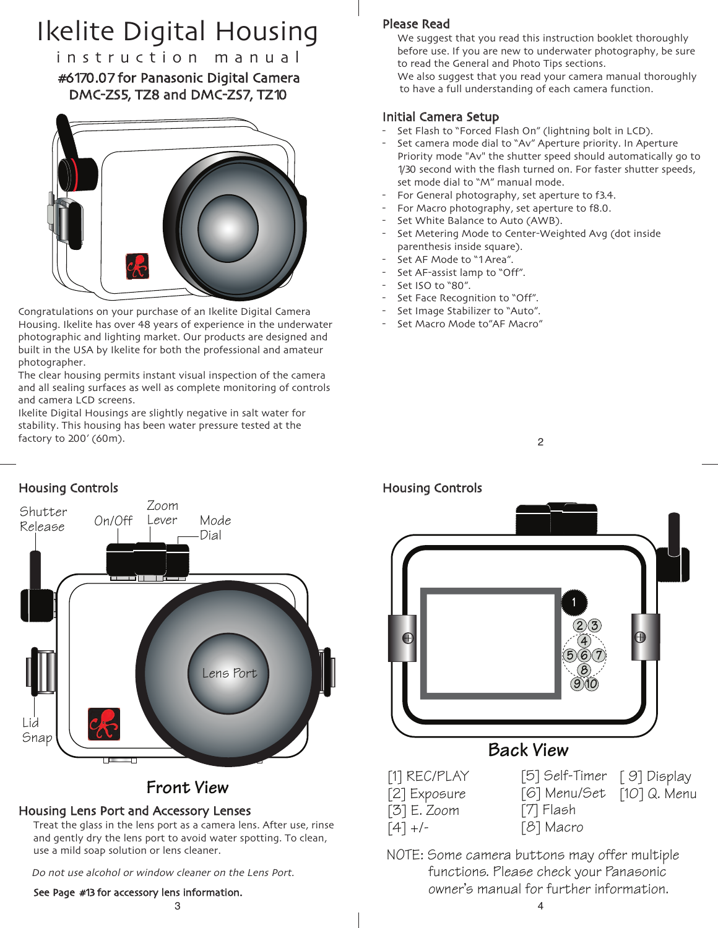# Ikelite Digital Housing

i n s t r u c t i o n m a n u a l #6170.07 for Panasonic Digital Camera DMC-ZS5, TZ8 and DMC-ZS7, TZ10



Congratulations on your purchase of an Ikelite Digital Camera Housing. Ikelite has over 48 years of experience in the underwater photographic and lighting market. Our products are designed and built in the USA by Ikelite for both the professional and amateur photographer.

The clear housing permits instant visual inspection of the camera and all sealing surfaces as well as complete monitoring of controls and camera LCD screens.

Ikelite Digital Housings are slightly negative in salt water for stability. This housing has been water pressure tested at the factory to 200' (60m).

## Please Read

We suggest that you read this instruction booklet thoroughly before use. If you are new to underwater photography, be sure to read the General and Photo Tips sections. We also suggest that you read your camera manual thoroughly

to have a full understanding of each camera function.

#### Initial Camera Setup

- Set Flash to "Forced Flash On" (lightning bolt in LCD).
- Set camera mode dial to "Av" Aperture priority. In Aperture Priority mode "Av" the shutter speed should automatically go to 1/30 second with the flash turned on. For faster shutter speeds, set mode dial to "M" manual mode.
- For General photography, set aperture to f3.4.
- For Macro photography, set aperture to f8.0.
- Set White Balance to Auto (AWB).
- Set Metering Mode to Center-Weighted Avg (dot inside parenthesis inside square).
- Set AF Mode to "1Area".
- Set AF-assist lamp to "Off".
- Set ISO to "80".
- Set Face Recognition to "Off".
- Set Image Stabilizer to "Auto".
- Set Macro Mode to"AF Macro"





2



[6] Menu/Set [10] Q. Menu [7] Flash [8] Macro

NOTE: Some camera buttons may offer multiple functions. Please check your Panasonic owner's manual for further information.



## **Front** *View*

## Housing Lens Port and Accessory Lenses

Treat the glass in the lens port as a camera lens. After use, rinse and gently dry the lens port to avoid water spotting. To clean, use a mild soap solution or lens cleaner.

Do not use alcohol or window cleaner on the Lens Port.

See Page #13 for accessory lens information.

 $3 \times 4$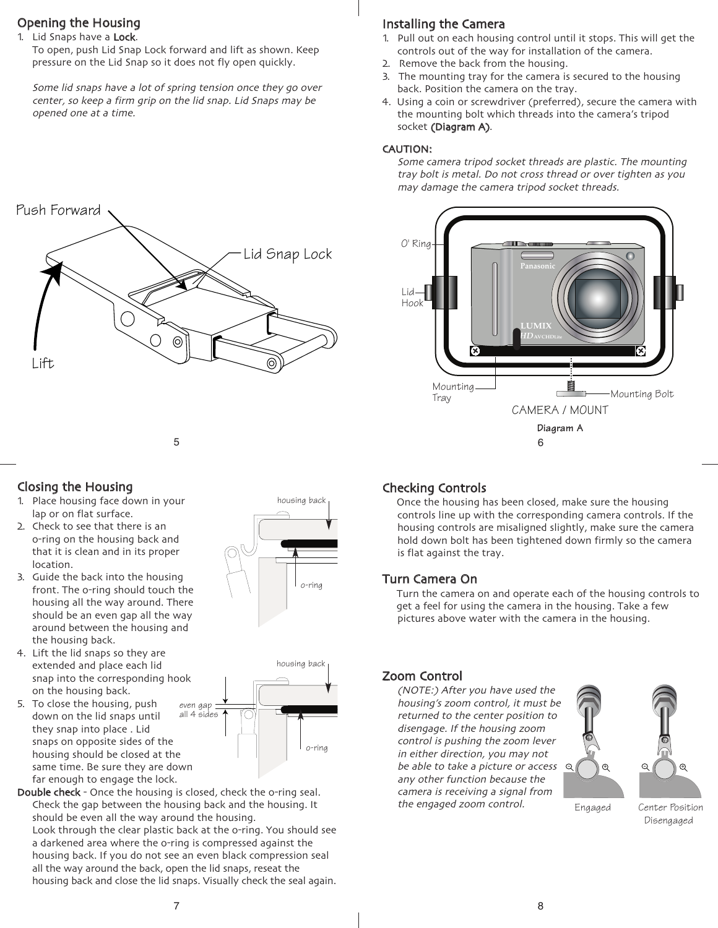## Opening the Housing

#### 1. Lid Snaps have a Lock.

To open, push Lid Snap Lock forward and lift as shown. Keep pressure on the Lid Snap so it does not fly open quickly.

Some lid snaps have <sup>a</sup> lot of spring tension once they go over center, so keep <sup>a</sup> firm grip on the lid snap. Lid Snaps may be opened one at <sup>a</sup> time.

## Installing the Camera

- 1. Pull out on each housing control until it stops. This will get the controls out of the way for installation of the camera.
- 2. Remove the back from the housing.
- 3. The mounting tray for the camera is secured to the housing back. Position the camera on the tray.
- 4. Using a coin or screwdriver (preferred), secure the camera with the mounting bolt which threads into the camera's tripod socket (Diagram A).

#### CAUTION:

Some camera tripod socket threads are plastic. The mounting tray bolt is metal. Do not cross thread or over tighten as you may damage the camera tripod socket threads.





5

## Closing the Housing

- 1. Place housing face down in your lap or on flat surface.
- 2. Check to see that there is an o-ring on the housing back and that it is clean and in its proper location.
- 3. Guide the back into the housing front. The o-ring should touch the housing all the way around. There should be an even gap all the way around between the housing and the housing back.
- 4. Lift the lid snaps so they are extended and place each lid snap into the corresponding hook on the housing back.
- 5. To close the housing, push down on the lid snaps until they snap into place . Lid snaps on opposite sides of the housing should be closed at the same time. Be sure they are down far enough to engage the lock.





Double check - Once the housing is closed, check the o-ring seal. Check the gap between the housing back and the housing. It should be even all the way around the housing. Look through the clear plastic back at the o-ring. You should see a darkened area where the o-ring is compressed against the housing back. If you do not see an even black compression seal

all the way around the back, open the lid snaps, reseat the housing back and close the lid snaps. Visually check the seal again.

## Checking Controls

Once the housing has been closed, make sure the housing controls line up with the corresponding camera controls. If the housing controls are misaligned slightly, make sure the camera hold down bolt has been tightened down firmly so the camera is flat against the tray.

#### Turn Camera On

Turn the camera on and operate each of the housing controls to get a feel for using the camera in the housing. Take a few pictures above water with the camera in the housing.

## Zoom Control

(NOTE:) After you have used the housing's zoom control, it must be returned to the center position to disengage. If the housing zoom control is pushing the zoom lever in either direction, you may not be able to take a picture or access  $\,$   $\,$   $\,$   $\,$   $\,$   $\,$ any other function because the camera is receiving <sup>a</sup> signal from the engaged zoom control.





Engaged Center Position

Disengaged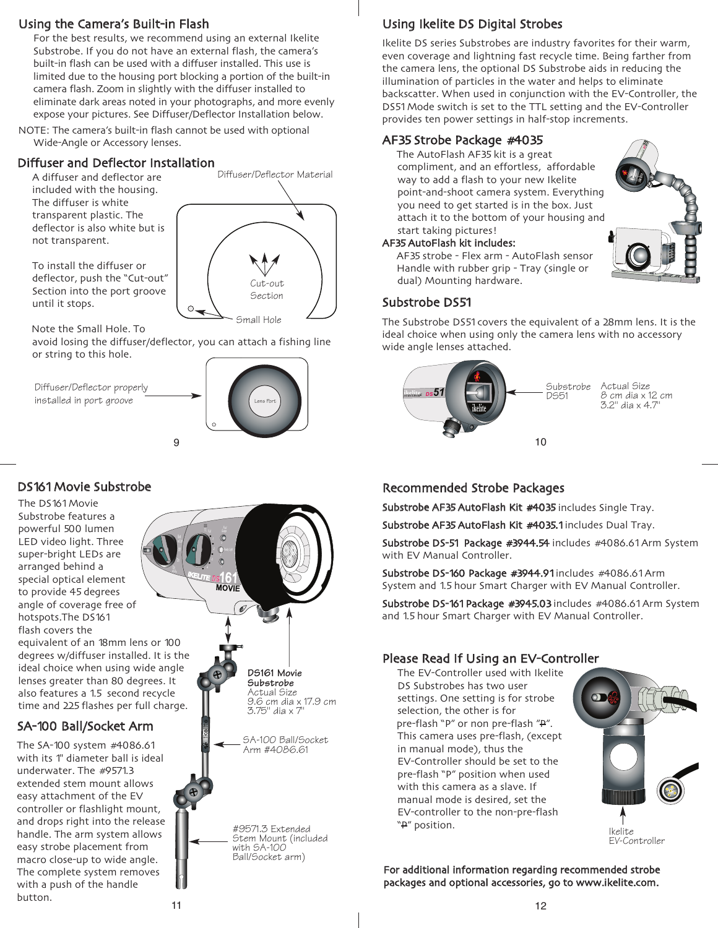## Using the Camera's Built-in Flash

For the best results, we recommend using an external Ikelite Substrobe. If you do not have an external flash, the camera's built-in flash can be used with a diffuser installed. This use is limited due to the housing port blocking a portion of the built-in camera flash. Zoom in slightly with the diffuser installed to eliminate dark areas noted in your photographs, and more evenly expose your pictures. See Diffuser/Deflector Installation below.

NOTE: The camera's built-in flash cannot be used with optional Wide-Angle or Accessory lenses.

## Diffuser and Deflector Installation

A diffuser and deflector are included with the housing. The diffuser is white transparent plastic. The deflector is also white but is not transparent.

To install the diffuser or deflector, push the "Cut-out" Section into the port groove until it stops.

Note the Small Hole. To

avoid losing the diffuser/deflector, you can attach a fishing line or string to this hole.

 $\circ$ .

9

Diffuser/Deflector properly installed in port groove



Small Hole

Cut-out Section

Diffuser/Deflector Material

## DS161Movie Substrobe

The DS161Movie Substrobe features a powerful 500 lumen LED video light. Three super-bright LEDs are arranged behind a special optical element to provide 45 degrees angle of coverage free of hotspots.The DS161 flash covers the

equivalent of an 18mm lens or 100 degrees w/diffuser installed. It is the ideal choice when using wide angle lenses greater than 80 degrees. It also features a 1.5 second recycle time and 225 flashes per full charge.

## SA-100 Ball/Socket Arm

The SA-100 system #4086.61 with its 1" diameter ball is ideal underwater. The #9571.3 extended stem mount allows easy attachment of the EV controller or flashlight mount, and drops right into the release handle. The arm system allows easy strobe placement from macro close-up to wide angle. The complete system removes with a push of the handle button.



## Using Ikelite DS Digital Strobes

Ikelite DS series Substrobes are industry favorites for their warm, even coverage and lightning fast recycle time. Being farther from the camera lens, the optional DS Substrobe aids in reducing the illumination of particles in the water and helps to eliminate backscatter. When used in conjunction with the EV-Controller, the DS51Mode switch is set to the TTL setting and the EV-Controller provides ten power settings in half-stop increments.

**ikelite** *35* **AF ikelite** *AUTOFLASH*

## AF35 Strobe Package #4035

The AutoFlash AF35 kit is a great compliment, and an effortless, affordable way to add a flash to your new Ikelite point-and-shoot camera system. Everything you need to get started is in the box. Just attach it to the bottom of your housing and start taking pictures!

#### AF35AutoFlash kit includes:

AF35 strobe - Flex arm - AutoFlash sensor Handle with rubber grip - Tray (single or dual) Mounting hardware.

#### Substrobe DS51

The Substrobe DS51covers the equivalent of a 28mm lens. It is the ideal choice when using only the camera lens with no accessory wide angle lenses attached.



## Recommended Strobe Packages

Substrobe AF35 AutoFlash Kit #4035 includes Single Tray.

Substrobe AF35 AutoFlash Kit #4035.1 includes Dual Tray.

Substrobe DS-51 Package #3944.54 includes #4086.61 Arm System with EV Manual Controller.

Substrobe DS-160 Package #3944.91 includes #4086.61 Arm System and 1.5 hour Smart Charger with EV Manual Controller.

Substrobe DS-161 Package #3945.03 includes #4086.61 Arm System and 1.5 hour Smart Charger with EV Manual Controller.

## Please Read If Using an EV-Controller

The EV-Controller used with Ikelite DS Substrobes has two user settings. One setting is for strobe selection, the other is for pre-flash "P" or non pre-flash "P". This camera uses pre-flash, (except in manual mode), thus the EV-Controller should be set to the pre-flash "P" position when used with this camera as a slave. If manual mode is desired, set the EV-controller to the non-pre-flash



For additional information regarding recommended strobe packages and optional accessories, go to www.ikelite.com.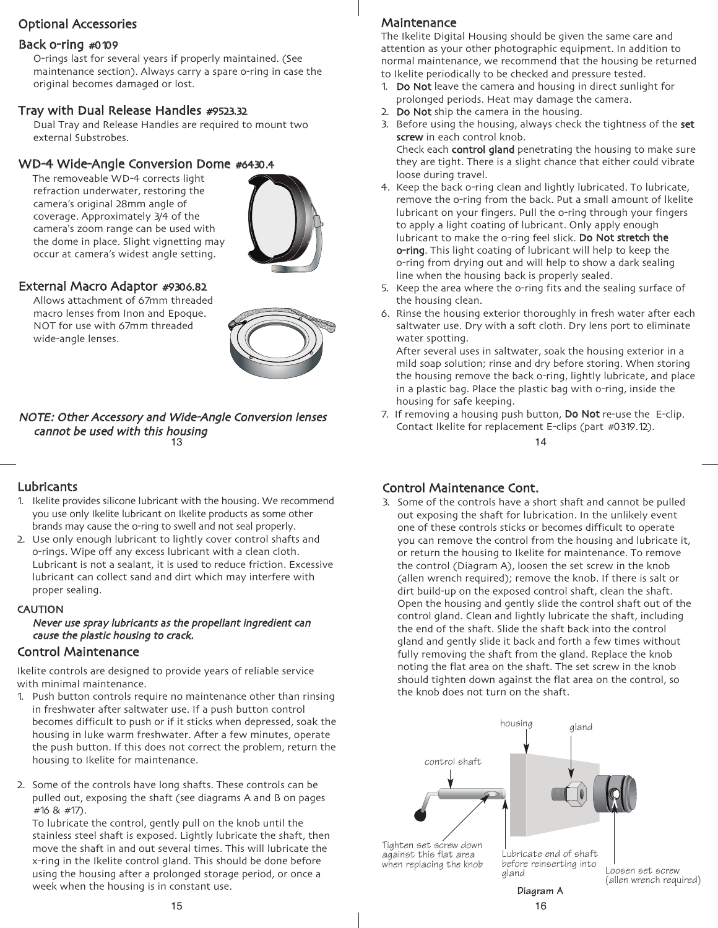## Optional Accessories

#### Back o-ring #0109

O-rings last for several years if properly maintained. (See maintenance section). Always carry a spare o-ring in case the original becomes damaged or lost.

#### Tray with Dual Release Handles #9523.32

Dual Tray and Release Handles are required to mount two external Substrobes.

#### WD-4 Wide-Angle Conversion Dome #6430.4

The removeable WD-4 corrects light refraction underwater, restoring the camera's original 28mm angle of coverage. Approximately 3/4 of the camera's zoom range can be used with the dome in place. Slight vignetting may occur at camera's widest angle setting.



#### External Macro Adaptor #9306.82

Allows attachment of 67mm threaded macro lenses from Inon and Epoque. NOT for use with 67mm threaded wide-angle lenses.



#### 13 NOTE: Other Accessory and Wide-Angle Conversion lenses cannot be used with this housing

#### Lubricants

- 1. Ikelite provides silicone lubricant with the housing. We recommend you use only Ikelite lubricant on Ikelite products as some other brands may cause the o-ring to swell and not seal properly.
- 2. Use only enough lubricant to lightly cover control shafts and o-rings. Wipe off any excess lubricant with a clean cloth. Lubricant is not a sealant, it is used to reduce friction. Excessive lubricant can collect sand and dirt which may interfere with proper sealing.

#### **CAUTION**

#### Never use spray lubricants as the propellant ingredient can cause the plastic housing to crack.

#### Control Maintenance

Ikelite controls are designed to provide years of reliable service with minimal maintenance.

- 1. Push button controls require no maintenance other than rinsing in freshwater after saltwater use. If a push button control becomes difficult to push or if it sticks when depressed, soak the housing in luke warm freshwater. After a few minutes, operate the push button. If this does not correct the problem, return the housing to Ikelite for maintenance.
- 2. Some of the controls have long shafts. These controls can be pulled out, exposing the shaft (see diagrams A and B on pages #16 & #17).

To lubricate the control, gently pull on the knob until the stainless steel shaft is exposed. Lightly lubricate the shaft, then move the shaft in and out several times. This will lubricate the x-ring in the Ikelite control gland. This should be done before using the housing after a prolonged storage period, or once a week when the housing is in constant use.

The Ikelite Digital Housing should be given the same care and attention as your other photographic equipment. In addition to normal maintenance, we recommend that the housing be returned to Ikelite periodically to be checked and pressure tested.

- 1. Do Not leave the camera and housing in direct sunlight for prolonged periods. Heat may damage the camera.
- 2. Do Not ship the camera in the housing.
- 3. Before using the housing, always check the tightness of the set screw in each control knob.

Check each control gland penetrating the housing to make sure they are tight. There is a slight chance that either could vibrate loose during travel.

- 4. Keep the back o-ring clean and lightly lubricated. To lubricate, remove the o-ring from the back. Put a small amount of lkelite lubricant on your fingers. Pull the o-ring through your fingers to apply a light coating of lubricant. Only apply enough lubricant to make the o-ring feel slick. Do Not stretch the o-ring. This light coating of lubricant will help to keep the o-ring from drying out and will help to show a dark sealing line when the housing back is properly sealed.
- 5. Keep the area where the o-ring fits and the sealing surface of the housing clean.
- 6. Rinse the housing exterior thoroughly in fresh water after each saltwater use. Dry with a soft cloth. Dry lens port to eliminate water spotting.

After several uses in saltwater, soak the housing exterior in a mild soap solution; rinse and dry before storing. When storing the housing remove the back o-ring, lightly lubricate, and place in a plastic bag. Place the plastic bag with o-ring, inside the housing for safe keeping.

7. If removing a housing push button, Do Not re-use the E-clip. Contact Ikelite for replacement E-clips (part #0319.12).

14

#### Control Maintenance Cont.

3. Some of the controls have a short shaft and cannot be pulled out exposing the shaft for lubrication. In the unlikely event one of these controls sticks or becomes difficult to operate you can remove the control from the housing and lubricate it, or return the housing to Ikelite for maintenance. To remove the control (Diagram A), loosen the set screw in the knob (allen wrench required); remove the knob. If there is salt or dirt build-up on the exposed control shaft, clean the shaft. Open the housing and gently slide the control shaft out of the control gland. Clean and lightly lubricate the shaft, including the end of the shaft. Slide the shaft back into the control gland and gently slide it back and forth a few times without fully removing the shaft from the gland. Replace the knob noting the flat area on the shaft. The set screw in the knob should tighten down against the flat area on the control, so the knob does not turn on the shaft.